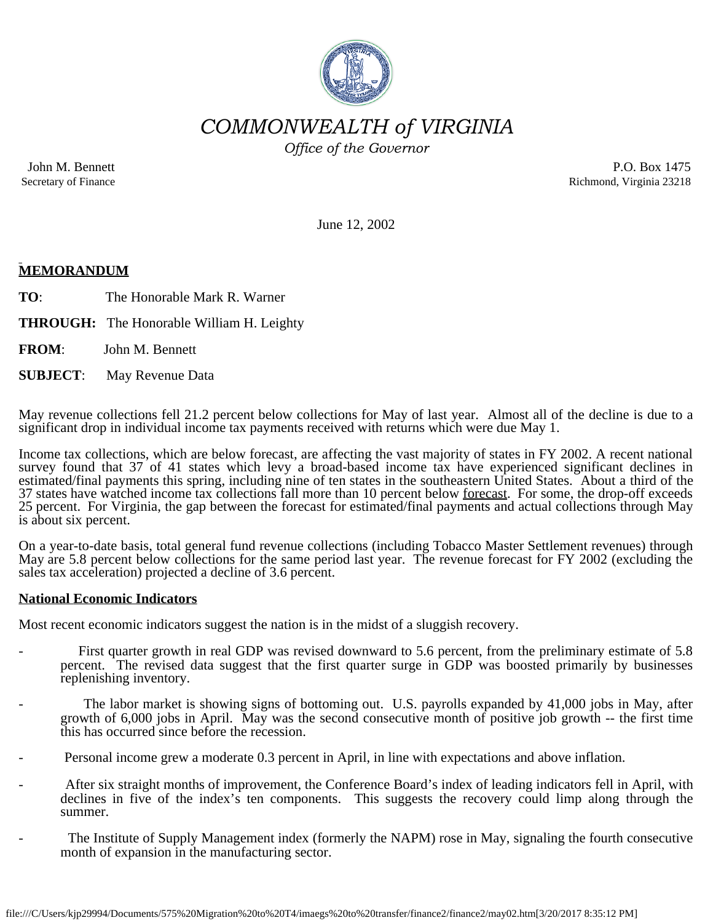

*COMMONWEALTH of VIRGINIA*

*Office of the Governor*

John M. Bennett Secretary of Finance

P.O. Box 1475 Richmond, Virginia 23218

June 12, 2002

# **MEMORANDUM**

**TO**: The Honorable Mark R. Warner

**THROUGH:** The Honorable William H. Leighty

**FROM**: John M. Bennett

**SUBJECT**: May Revenue Data

May revenue collections fell 21.2 percent below collections for May of last year. Almost all of the decline is due to a significant drop in individual income tax payments received with returns which were due May 1.

Income tax collections, which are below forecast, are affecting the vast majority of states in FY 2002. A recent national survey found that 37 of 41 states which levy a broad-based income tax have experienced significant declines in estimated/final payments this spring, including nine of ten states in the southeastern United States. About a third of the 37 states have watched income tax collections fall more than 10 percent below <u>forecast</u>. For some, the drop-off exceeds 25 percent. For Virginia, the gap between the forecast for estimated/final payments and actual collections through May is about six percent.

On a year-to-date basis, total general fund revenue collections (including Tobacco Master Settlement revenues) through May are 5.8 percent below collections for the same period last year. The revenue forecast for FY 2002 (excluding the sales tax acceleration) projected a decline of 3.6 percent.

#### **National Economic Indicators**

Most recent economic indicators suggest the nation is in the midst of a sluggish recovery.

First quarter growth in real GDP was revised downward to 5.6 percent, from the preliminary estimate of 5.8 percent. The revised data suggest that the first quarter surge in GDP was boosted primarily by businesses replenishing inventory.

The labor market is showing signs of bottoming out. U.S. payrolls expanded by 41,000 jobs in May, after growth of 6,000 jobs in April. May was the second consecutive month of positive job growth -- the first time this has occurred since before the recession.

- Personal income grew a moderate 0.3 percent in April, in line with expectations and above inflation.
- After six straight months of improvement, the Conference Board's index of leading indicators fell in April, with declines in five of the index's ten components. This suggests the recovery could limp along through the summer.
- The Institute of Supply Management index (formerly the NAPM) rose in May, signaling the fourth consecutive month of expansion in the manufacturing sector.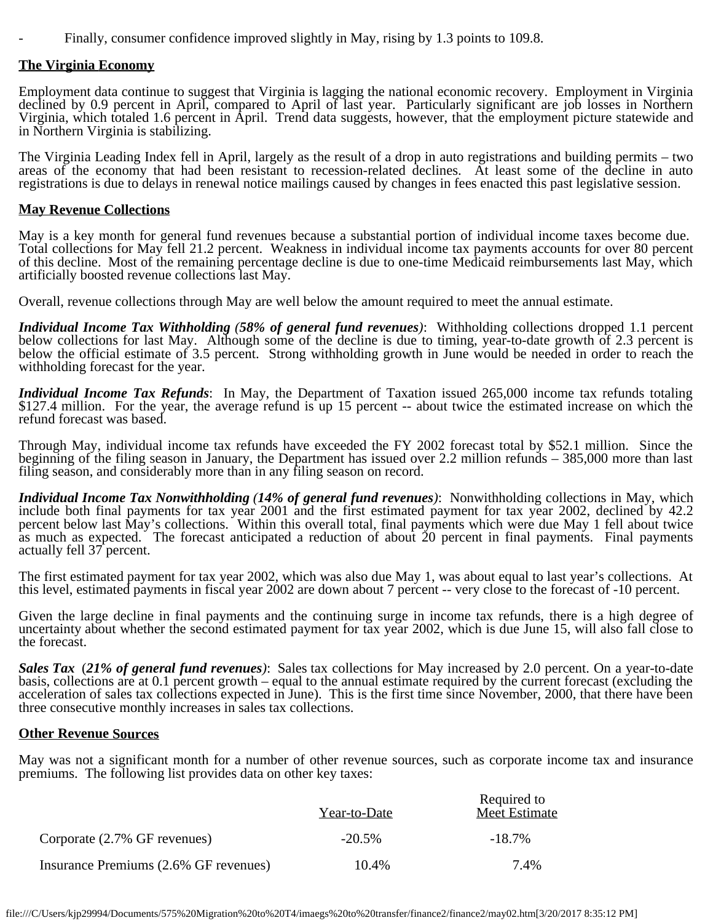# **The Virginia Economy**

Employment data continue to suggest that Virginia is lagging the national economic recovery. Employment in Virginia declined by 0.9 percent in April, compared to April of last year. Particularly significant are job losses in Northern Virginia, which totaled 1.6 percent in April. Trend data suggests, however, that the employment picture statewide and in Northern Virginia is stabilizing.

The Virginia Leading Index fell in April, largely as the result of a drop in auto registrations and building permits – two areas of the economy that had been resistant to recession-related declines. At least some of the decline in auto registrations is due to delays in renewal notice mailings caused by changes in fees enacted this past legislative session.

### **May Revenue Collections**

May is a key month for general fund revenues because a substantial portion of individual income taxes become due. Total collections for May fell 21.2 percent. Weakness in individual income tax payments accounts for over 80 percent of this decline. Most of the remaining percentage decline is due to one-time Medicaid reimbursements last May, which artificially boosted revenue collections last May.

Overall, revenue collections through May are well below the amount required to meet the annual estimate.

*Individual Income Tax Withholding (58% of general fund revenues)*: Withholding collections dropped 1.1 percent below collections for last May. Although some of the decline is due to timing, year-to-date growth of 2.3 percent is below the official estimate of 3.5 percent. Strong withholding growth in June would be needed in order to reach the withholding forecast for the year.

*Individual Income Tax Refunds*: In May, the Department of Taxation issued 265,000 income tax refunds totaling \$127.4 million. For the year, the average refund is up 15 percent -- about twice the estimated increase on whic refund forecast was based.

Through May, individual income tax refunds have exceeded the FY 2002 forecast total by \$52.1 million. Since the beginning of the filing season in January, the Department has issued over 2.2 million refunds – 385,000 more than last filing season, and considerably more than in any filing season on record.

*Individual Income Tax Nonwithholding (14% of general fund revenues)*: Nonwithholding collections in May, which include both final payments for tax year 2001 and the first estimated payment for tax year 2002, declined by 42.2 percent below last May's collections. Within this overall total, final payments which were due May 1 fell about twice as much as expected. The forecast anticipated a reduction of about 20 percent in final payments. Final payments actually fell 37 percent.

The first estimated payment for tax year 2002, which was also due May 1, was about equal to last year's collections. At this level, estimated payments in fiscal year 2002 are down about 7 percent -- very close to the forecast of -10 percent.

Given the large decline in final payments and the continuing surge in income tax refunds, there is a high degree of uncertainty about whether the second estimated payment for tax year 2002, which is due June 15, will also fall close to the forecast.

*Sales Tax* (*21% of general fund revenues)*: Sales tax collections for May increased by 2.0 percent. On a year-to-date basis, collections are at 0.1 percent growth – equal to the annual estimate required by the current forecast (excluding the acceleration of sales tax collections expected in June). This is the first time since November, 2000, that there have been three consecutive monthly increases in sales tax collections.

#### **Other Revenue Sources**

May was not a significant month for a number of other revenue sources, such as corporate income tax and insurance premiums. The following list provides data on other key taxes:

|                                       | Year-to-Date | Required to<br><b>Meet Estimate</b> |
|---------------------------------------|--------------|-------------------------------------|
| Corporate (2.7% GF revenues)          | $-20.5\%$    | $-18.7\%$                           |
| Insurance Premiums (2.6% GF revenues) | 10.4%        | $7.4\%$                             |